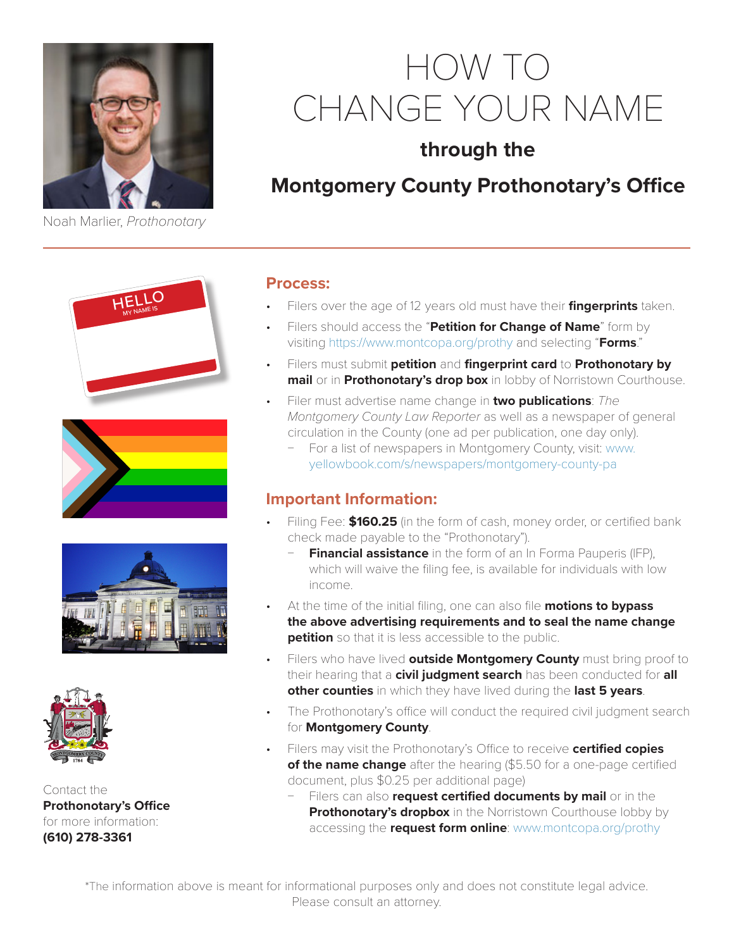

Noah Marlier, *Prothonotary*

# HOW TO CHANGE YOUR NAME

## **through the**

## **Montgomery County Prothonotary's Office**









Contact the **Prothonotary's Office** for more information: **(610) 278-3361**

#### **Process:**

- Filers over the age of 12 years old must have their **fingerprints** taken.
- Filers should access the "**Petition for Change of Name**" form by visiting <https://www.montcopa.org/prothy>and selecting "**Forms**."
- Filers must submit **petition** and **fingerprint card** to **Prothonotary by mail** or in **Prothonotary's drop box** in lobby of Norristown Courthouse.
- Filer must advertise name change in **two publications**: *The Montgomery County Law Reporter* as well as a newspaper of general circulation in the County (one ad per publication, one day only).
	- For a list of newspapers in Montgomery County, visit: [www.](http://www.yellowbook.com/s/newspapers/montgomery-county-pa) [yellowbook.com/s/newspapers/montgomery-county-pa](http://www.yellowbook.com/s/newspapers/montgomery-county-pa)

### **Important Information:**

- Filing Fee: **\$160.25** (in the form of cash, money order, or certified bank check made payable to the "Prothonotary").
	- **Financial assistance** in the form of an In Forma Pauperis (IFP), which will waive the filing fee, is available for individuals with low income.
- At the time of the initial filing, one can also file **motions to bypass the above advertising requirements and to seal the name change petition** so that it is less accessible to the public.
- Filers who have lived **outside Montgomery County** must bring proof to their hearing that a **civil judgment search** has been conducted for **all other counties** in which they have lived during the **last 5 years**.
- The Prothonotary's office will conduct the required civil judgment search for **Montgomery County**.
- Filers may visit the Prothonotary's Office to receive **certified copies of the name change** after the hearing (\$5.50 for a one-page certified document, plus \$0.25 per additional page)
	- Filers can also **request certified documents by mail** or in the **Prothonotary's dropbox** in the Norristown Courthouse lobby by accessing the **request form online**: [www.montcopa.org/prothy](http://www.montcopa.org/prothy)

\*The information above is meant for informational purposes only and does not constitute legal advice. Please consult an attorney.